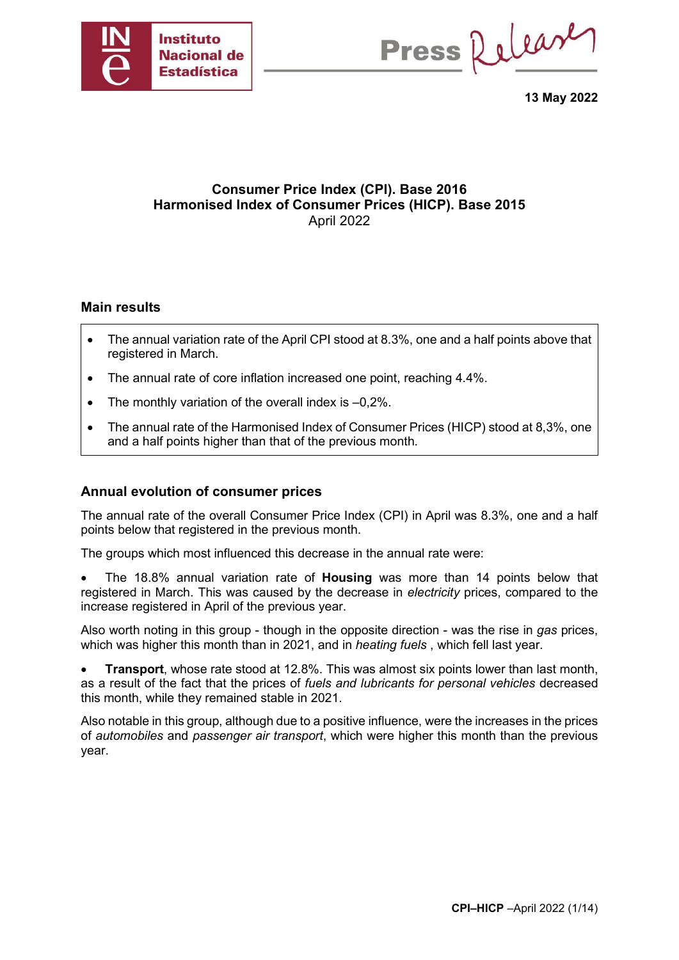

Press Release

**13 May 2022**

## **Consumer Price Index (CPI). Base 2016 Harmonised Index of Consumer Prices (HICP). Base 2015** April 2022

#### **Main results**

- The annual variation rate of the April CPI stood at 8.3%, one and a half points above that registered in March.
- The annual rate of core inflation increased one point, reaching 4.4%.
- The monthly variation of the overall index is  $-0.2\%$ .
- The annual rate of the Harmonised Index of Consumer Prices (HICP) stood at 8,3%, one and a half points higher than that of the previous month.

### **Annual evolution of consumer prices**

The annual rate of the overall Consumer Price Index (CPI) in April was 8.3%, one and a half points below that registered in the previous month.

The groups which most influenced this decrease in the annual rate were:

• The 18.8% annual variation rate of **Housing** was more than 14 points below that registered in March. This was caused by the decrease in *electricity* prices, compared to the increase registered in April of the previous year.

Also worth noting in this group - though in the opposite direction - was the rise in *gas* prices, which was higher this month than in 2021, and in *heating fuels* , which fell last year.

• **Transport**, whose rate stood at 12.8%. This was almost six points lower than last month, as a result of the fact that the prices of *fuels and lubricants for personal vehicles* decreased this month, while they remained stable in 2021.

Also notable in this group, although due to a positive influence, were the increases in the prices of *automobiles* and *passenger air transport*, which were higher this month than the previous year.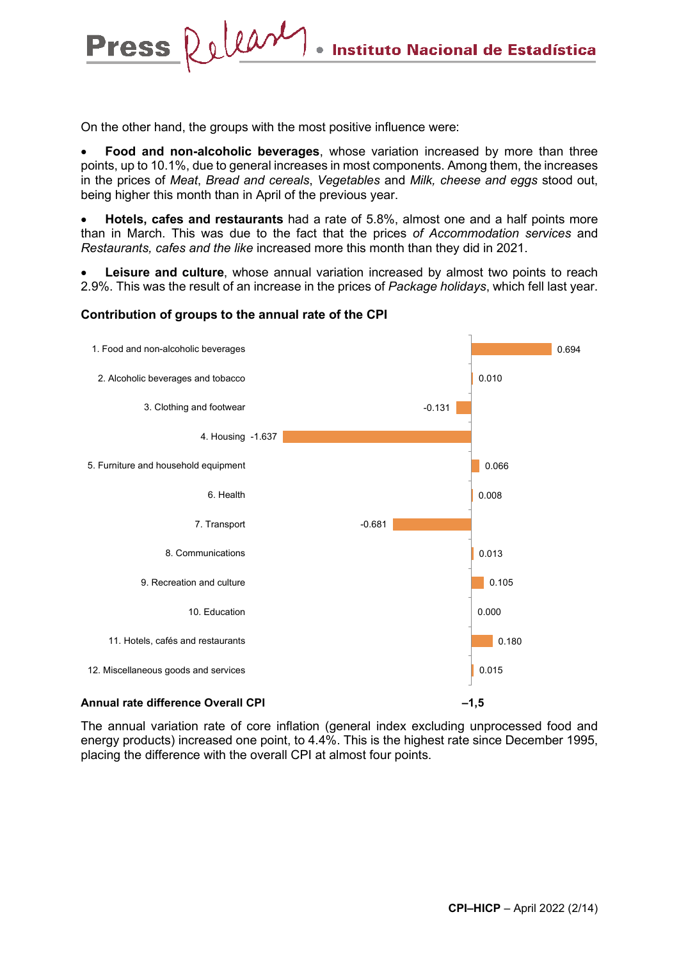On the other hand, the groups with the most positive influence were:

Press Relear

• **Food and non-alcoholic beverages**, whose variation increased by more than three points, up to 10.1%, due to general increases in most components. Among them, the increases in the prices of *Meat*, *Bread and cereals*, *Vegetables* and *Milk, cheese and eggs* stood out, being higher this month than in April of the previous year.

• **Hotels, cafes and restaurants** had a rate of 5.8%, almost one and a half points more than in March. This was due to the fact that the prices *of Accommodation services* and *Restaurants, cafes and the like* increased more this month than they did in 2021.

**Leisure and culture**, whose annual variation increased by almost two points to reach 2.9%. This was the result of an increase in the prices of *Package holidays*, which fell last year.



#### **Contribution of groups to the annual rate of the CPI**

The annual variation rate of core inflation (general index excluding unprocessed food and energy products) increased one point, to 4.4%. This is the highest rate since December 1995, placing the difference with the overall CPI at almost four points.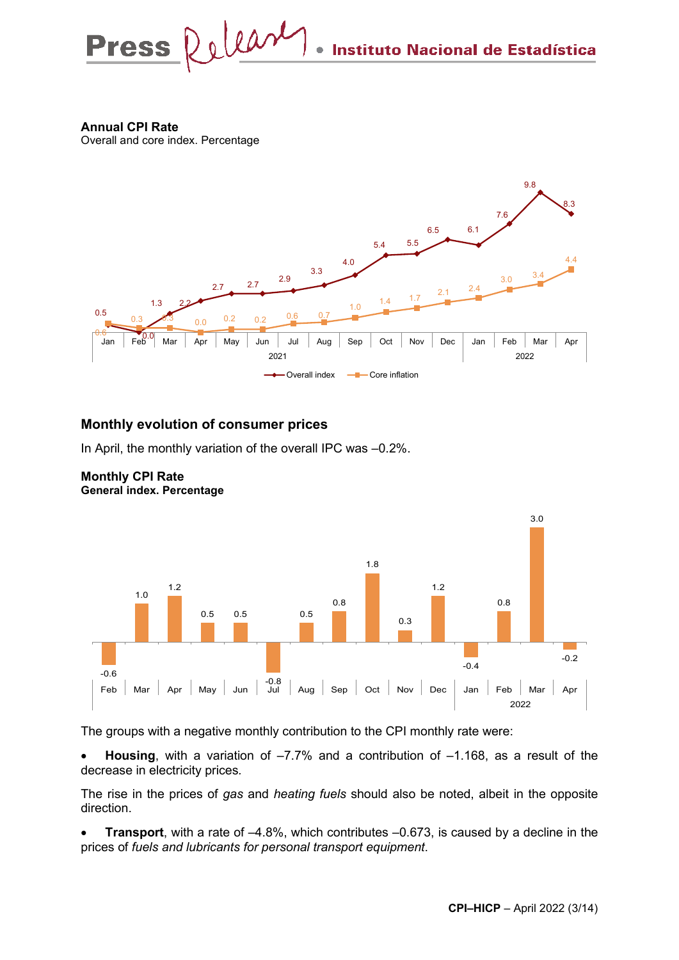Press Relear Instituto Nacional de Estadística

**Annual CPI Rate**

Overall and core index. Percentage



### **Monthly evolution of consumer prices**

In April, the monthly variation of the overall IPC was –0.2%.



#### **Monthly CPI Rate General index. Percentage**

The groups with a negative monthly contribution to the CPI monthly rate were:

• **Housing**, with a variation of –7.7% and a contribution of –1.168, as a result of the decrease in electricity prices*.*

The rise in the prices of *gas* and *heating fuels* should also be noted, albeit in the opposite direction.

**Transport**, with a rate of  $-4.8\%$ , which contributes  $-0.673$ , is caused by a decline in the prices of *fuels and lubricants for personal transport equipment*.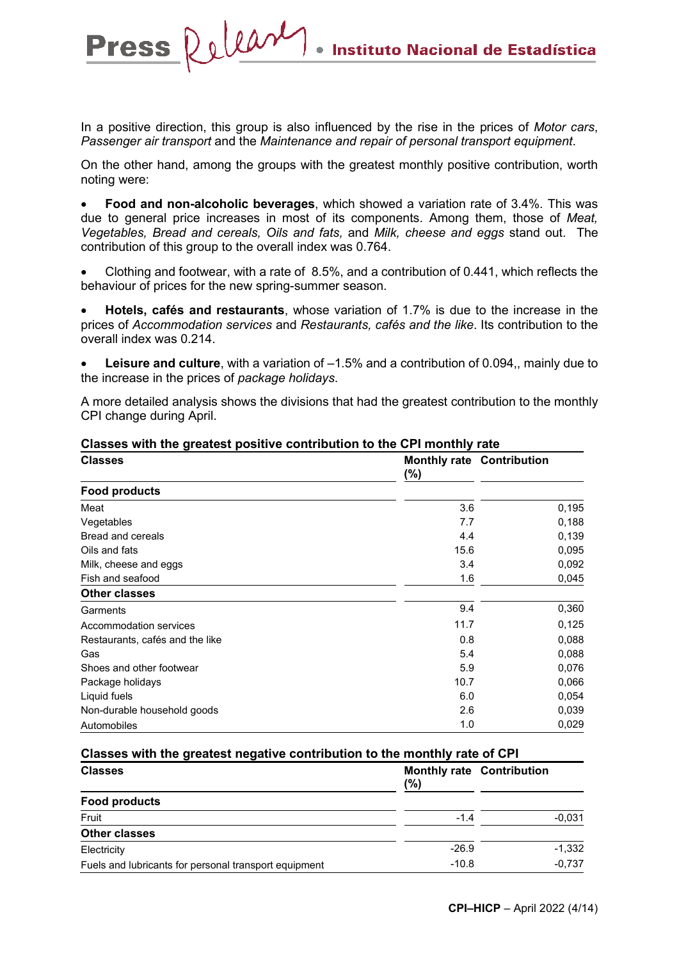In a positive direction, this group is also influenced by the rise in the prices of *Motor cars*, *Passenger air transport* and the *Maintenance and repair of personal transport equipment*.

Press Release

On the other hand, among the groups with the greatest monthly positive contribution, worth noting were:

• **Food and non-alcoholic beverages**, which showed a variation rate of 3.4%. This was due to general price increases in most of its components. Among them, those of *Meat, Vegetables, Bread and cereals, Oils and fats,* and *Milk, cheese and eggs* stand out. The contribution of this group to the overall index was 0.764.

• Clothing and footwear, with a rate of 8.5%, and a contribution of 0.441, which reflects the behaviour of prices for the new spring-summer season.

• **Hotels, cafés and restaurants**, whose variation of 1.7% is due to the increase in the prices of *Accommodation services* and *Restaurants, cafés and the like*. Its contribution to the overall index was 0.214.

• **Leisure and culture**, with a variation of –1.5% and a contribution of 0.094,, mainly due to the increase in the prices of *package holidays*.

A more detailed analysis shows the divisions that had the greatest contribution to the monthly CPI change during April.

| <b>Classes</b>                  | $(\%)$ | <b>Monthly rate Contribution</b> |
|---------------------------------|--------|----------------------------------|
| <b>Food products</b>            |        |                                  |
| Meat                            | 3.6    | 0,195                            |
| Vegetables                      | 7.7    | 0.188                            |
| <b>Bread and cereals</b>        | 4.4    | 0.139                            |
| Oils and fats                   | 15.6   | 0,095                            |
| Milk, cheese and eggs           | 3.4    | 0,092                            |
| Fish and seafood                | 1.6    | 0,045                            |
| <b>Other classes</b>            |        |                                  |
| Garments                        | 9.4    | 0,360                            |
| Accommodation services          | 11.7   | 0,125                            |
| Restaurants, cafés and the like | 0.8    | 0,088                            |
| Gas                             | 5.4    | 0,088                            |
| Shoes and other footwear        | 5.9    | 0,076                            |
| Package holidays                | 10.7   | 0,066                            |
| Liquid fuels                    | 6.0    | 0,054                            |
| Non-durable household goods     | 2.6    | 0,039                            |
| Automobiles                     | 1.0    | 0,029                            |

#### **Classes with the greatest positive contribution to the CPI monthly rate**

#### **Classes with the greatest negative contribution to the monthly rate of CPI**

| <b>Classes</b>                                        | (%)     | <b>Monthly rate Contribution</b> |
|-------------------------------------------------------|---------|----------------------------------|
| <b>Food products</b>                                  |         |                                  |
| Fruit                                                 | $-1.4$  | $-0.031$                         |
| <b>Other classes</b>                                  |         |                                  |
| Electricity                                           | $-26.9$ | $-1,332$                         |
| Fuels and lubricants for personal transport equipment | $-10.8$ | $-0.737$                         |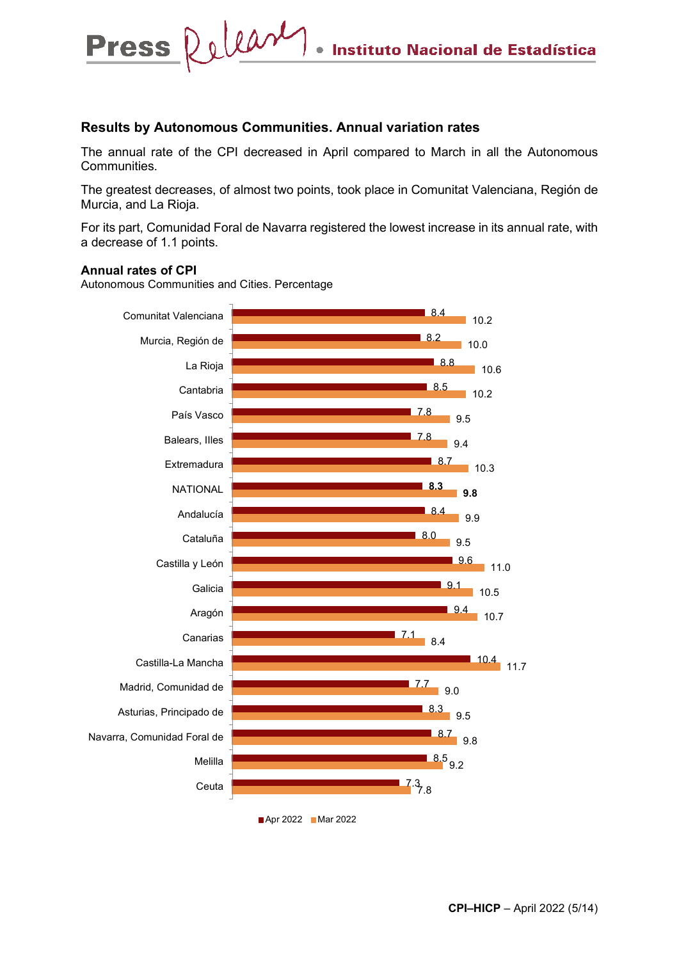#### **Results by Autonomous Communities. Annual variation rates**

The annual rate of the CPI decreased in April compared to March in all the Autonomous Communities.

The greatest decreases, of almost two points, took place in Comunitat Valenciana, Región de Murcia, and La Rioja.

For its part, Comunidad Foral de Navarra registered the lowest increase in its annual rate, with a decrease of 1.1 points.

#### **Annual rates of CPI**

Autonomous Communities and Cities. Percentage

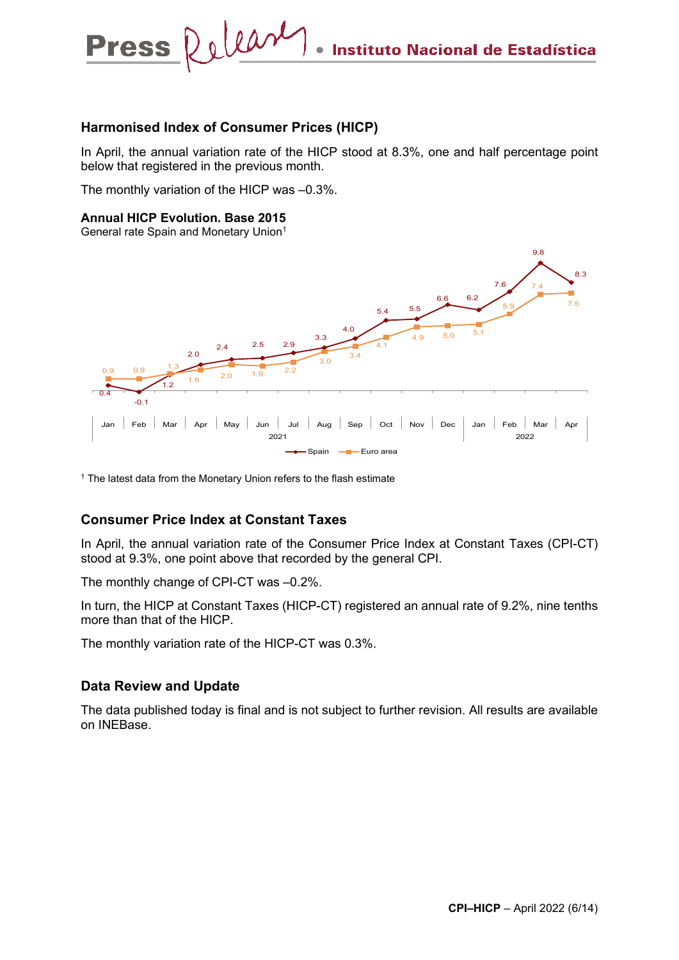

#### **Harmonised Index of Consumer Prices (HICP)**

In April, the annual variation rate of the HICP stood at 8.3%, one and half percentage point below that registered in the previous month.

The monthly variation of the HICP was –0.3%.

#### **Annual HICP Evolution. Base 2015**

General rate Spain and Monetary Union1



 $1$  The latest data from the Monetary Union refers to the flash estimate

### **Consumer Price Index at Constant Taxes**

In April, the annual variation rate of the Consumer Price Index at Constant Taxes (CPI-CT) stood at 9.3%, one point above that recorded by the general CPI.

The monthly change of CPI-CT was –0.2%.

In turn, the HICP at Constant Taxes (HICP-CT) registered an annual rate of 9.2%, nine tenths more than that of the HICP.

The monthly variation rate of the HICP-CT was 0.3%.

#### **Data Review and Update**

The data published today is final and is not subject to further revision. All results are available on INEBase.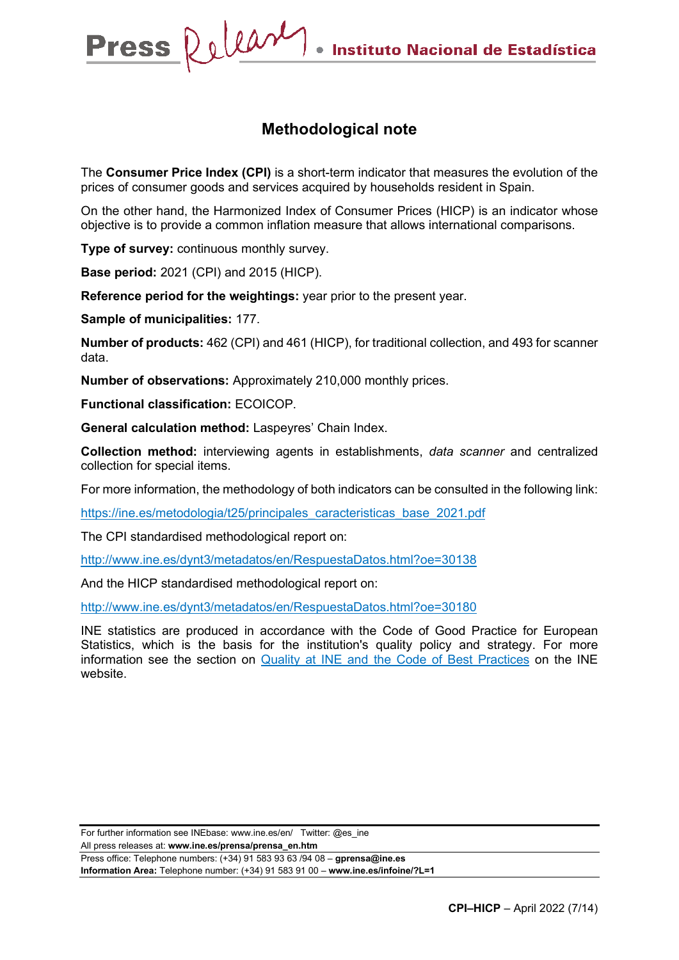# **Methodological note**

The **Consumer Price Index (CPI)** is a short-term indicator that measures the evolution of the prices of consumer goods and services acquired by households resident in Spain.

On the other hand, the Harmonized Index of Consumer Prices (HICP) is an indicator whose objective is to provide a common inflation measure that allows international comparisons.

**Type of survey:** continuous monthly survey.

**Base period:** 2021 (CPI) and 2015 (HICP).

**Reference period for the weightings:** year prior to the present year.

**Sample of municipalities:** 177.

**Number of products:** 462 (CPI) and 461 (HICP), for traditional collection, and 493 for scanner data.

**Number of observations:** Approximately 210,000 monthly prices.

**Functional classification:** ECOICOP.

**General calculation method:** Laspeyres' Chain Index.

**Collection method:** interviewing agents in establishments, *data scanner* and centralized collection for special items.

For more information, the methodology of both indicators can be consulted in the following link:

[https://ine.es/metodologia/t25/principales\\_caracteristicas\\_base\\_2021.pdf](https://ine.es/metodologia/t25/principales_caracteristicas_base_2021.pdf)

The CPI standardised methodological report on:

<http://www.ine.es/dynt3/metadatos/en/RespuestaDatos.html?oe=30138>

And the HICP standardised methodological report on:

<http://www.ine.es/dynt3/metadatos/en/RespuestaDatos.html?oe=30180>

INE statistics are produced in accordance with the Code of Good Practice for European Statistics, which is the basis for the institution's quality policy and strategy. For more information see the section on [Quality at INE and the Code of Best Practices](https://www.ine.es/ss/Satellite?L=es_ES&c=Page&cid=1259943453642&p=1259943453642&pagename=MetodologiaYEstandares/INELayout) on the INE website.

For further information see INEbase: www.ine.es/en/ Twitter: @es\_ine

All press releases at: **www.ine.es/prensa/prensa\_en.htm**

Press office: Telephone numbers: (+34) 91 583 93 63 /94 08 – **gprensa@ine.es Information Area:** Telephone number: (+34) 91 583 91 00 – **www.ine.es/infoine/?L=1**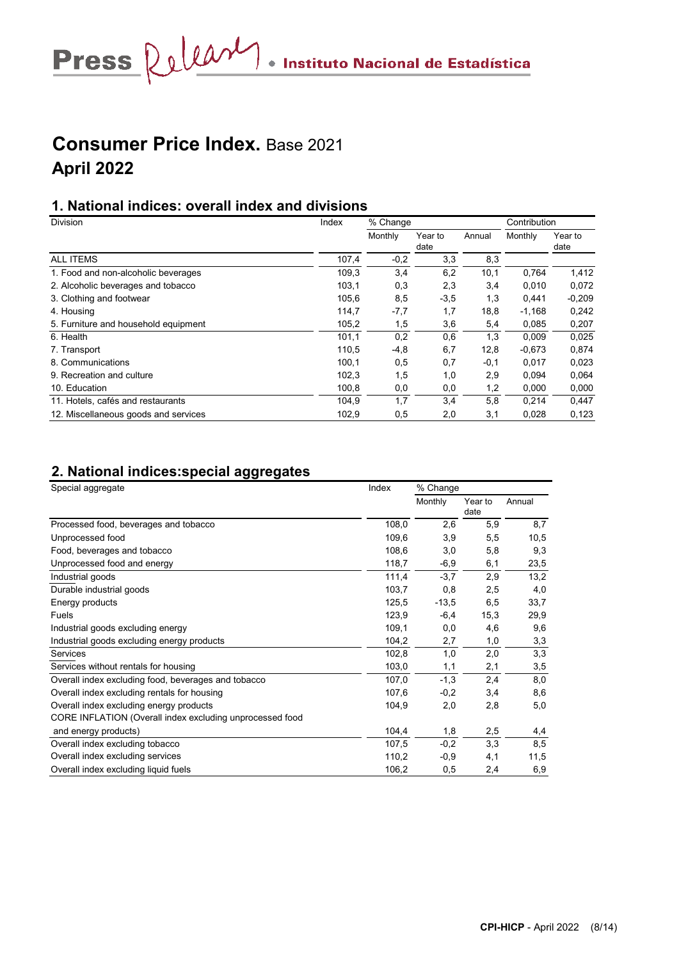Press Relear . Instituto Nacional de Estadística

# **Consumer Price Index.** Base 2021 **April 2022**

## **1. National indices: overall index and divisions**

| <b>Division</b>                      | Index | % Change |                 |        | Contribution |                 |  |
|--------------------------------------|-------|----------|-----------------|--------|--------------|-----------------|--|
|                                      |       | Monthly  | Year to<br>date | Annual | Monthly      | Year to<br>date |  |
| <b>ALL ITEMS</b>                     | 107,4 | $-0,2$   | 3,3             | 8,3    |              |                 |  |
| 1. Food and non-alcoholic beverages  | 109,3 | 3,4      | 6,2             | 10,1   | 0.764        | 1,412           |  |
| 2. Alcoholic beverages and tobacco   | 103,1 | 0,3      | 2,3             | 3,4    | 0,010        | 0,072           |  |
| 3. Clothing and footwear             | 105,6 | 8,5      | $-3,5$          | 1,3    | 0,441        | $-0,209$        |  |
| 4. Housing                           | 114,7 | $-7,7$   | 1,7             | 18,8   | $-1,168$     | 0,242           |  |
| 5. Furniture and household equipment | 105,2 | 1,5      | 3,6             | 5,4    | 0,085        | 0,207           |  |
| 6. Health                            | 101,1 | 0,2      | 0,6             | 1,3    | 0,009        | 0,025           |  |
| 7. Transport                         | 110,5 | $-4,8$   | 6,7             | 12,8   | $-0,673$     | 0,874           |  |
| 8. Communications                    | 100,1 | 0,5      | 0,7             | $-0.1$ | 0,017        | 0,023           |  |
| 9. Recreation and culture            | 102,3 | 1,5      | 1,0             | 2,9    | 0,094        | 0,064           |  |
| 10. Education                        | 100,8 | 0,0      | 0,0             | 1,2    | 0,000        | 0,000           |  |
| 11. Hotels, cafés and restaurants    | 104,9 | 1,7      | 3,4             | 5,8    | 0,214        | 0,447           |  |
| 12. Miscellaneous goods and services | 102,9 | 0,5      | 2,0             | 3,1    | 0,028        | 0,123           |  |

# **2. National indices:special aggregates**

| Special aggregate                                        | Index | % Change |                 |        |  |  |
|----------------------------------------------------------|-------|----------|-----------------|--------|--|--|
|                                                          |       | Monthly  | Year to<br>date | Annual |  |  |
| Processed food, beverages and tobacco                    | 108,0 | 2,6      | 5,9             | 8,7    |  |  |
| Unprocessed food                                         | 109,6 | 3,9      | 5,5             | 10,5   |  |  |
| Food, beverages and tobacco                              | 108,6 | 3,0      | 5,8             | 9,3    |  |  |
| Unprocessed food and energy                              | 118,7 | $-6,9$   | 6,1             | 23,5   |  |  |
| Industrial goods                                         | 111,4 | $-3,7$   | 2,9             | 13,2   |  |  |
| Durable industrial goods                                 | 103,7 | 0,8      | 2,5             | 4,0    |  |  |
| Energy products                                          | 125,5 | $-13,5$  | 6,5             | 33,7   |  |  |
| Fuels                                                    | 123,9 | $-6,4$   | 15,3            | 29,9   |  |  |
| Industrial goods excluding energy                        | 109,1 | 0,0      | 4,6             | 9,6    |  |  |
| Industrial goods excluding energy products               | 104,2 | 2,7      | 1,0             | 3,3    |  |  |
| Services                                                 | 102,8 | 1,0      | 2,0             | 3,3    |  |  |
| Services without rentals for housing                     | 103,0 | 1,1      | 2,1             | 3,5    |  |  |
| Overall index excluding food, beverages and tobacco      | 107,0 | $-1,3$   | 2,4             | 8,0    |  |  |
| Overall index excluding rentals for housing              | 107,6 | $-0,2$   | 3,4             | 8,6    |  |  |
| Overall index excluding energy products                  | 104,9 | 2,0      | 2,8             | 5,0    |  |  |
| CORE INFLATION (Overall index excluding unprocessed food |       |          |                 |        |  |  |
| and energy products)                                     | 104,4 | 1,8      | 2,5             | 4,4    |  |  |
| Overall index excluding tobacco                          | 107,5 | $-0,2$   | 3,3             | 8,5    |  |  |
| Overall index excluding services                         | 110,2 | $-0,9$   | 4,1             | 11,5   |  |  |
| Overall index excluding liquid fuels                     | 106,2 | 0,5      | 2,4             | 6,9    |  |  |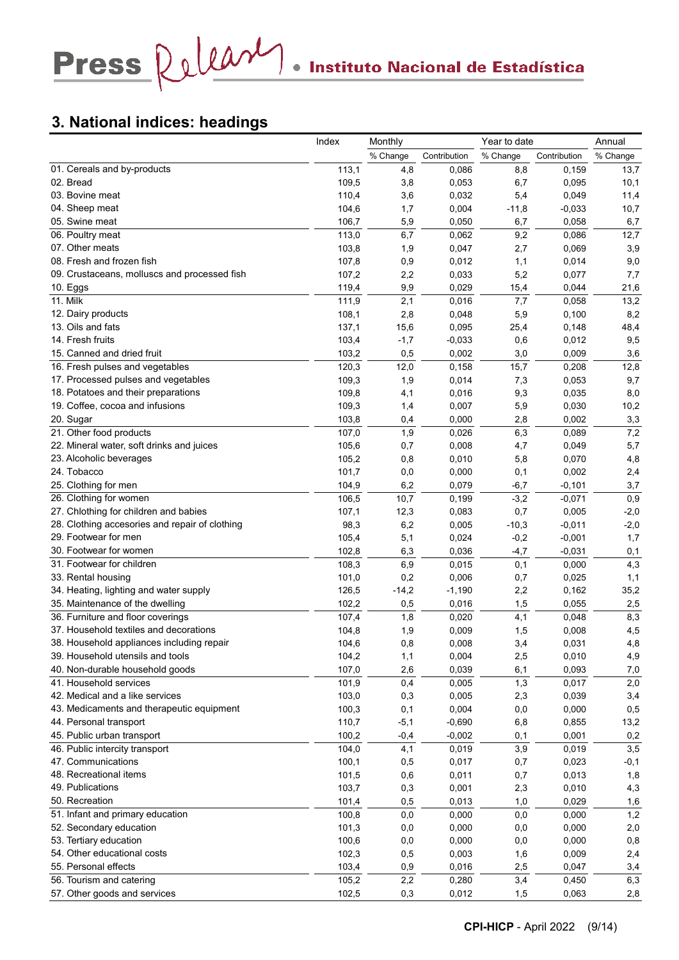# **3. National indices: headings**

|                                                | Index | Monthly  |              | Year to date |              | Annual   |
|------------------------------------------------|-------|----------|--------------|--------------|--------------|----------|
|                                                |       | % Change | Contribution | % Change     | Contribution | % Change |
| 01. Cereals and by-products                    | 113,1 | 4,8      | 0,086        | 8,8          | 0,159        | 13,7     |
| 02. Bread                                      | 109,5 | 3,8      | 0,053        | 6,7          | 0,095        | 10,1     |
| 03. Bovine meat                                | 110,4 | 3,6      | 0,032        | 5,4          | 0,049        | 11,4     |
| 04. Sheep meat                                 | 104,6 | 1,7      | 0,004        | $-11,8$      | $-0.033$     | 10,7     |
| 05. Swine meat                                 | 106,7 | 5,9      | 0,050        | 6,7          | 0,058        | 6,7      |
| 06. Poultry meat                               | 113,0 | 6,7      | 0,062        | 9,2          | 0,086        | 12,7     |
| 07. Other meats                                | 103,8 | 1,9      | 0,047        | 2,7          | 0,069        | 3,9      |
| 08. Fresh and frozen fish                      | 107,8 | 0,9      | 0,012        | 1,1          | 0,014        | 9,0      |
| 09. Crustaceans, molluscs and processed fish   | 107,2 | 2,2      | 0,033        | 5,2          | 0,077        | 7,7      |
| 10. Eggs                                       | 119,4 | 9,9      | 0,029        | 15,4         | 0,044        | 21,6     |
| 11. Milk                                       | 111,9 | 2,1      | 0,016        | 7,7          | 0,058        | 13,2     |
| 12. Dairy products                             | 108,1 | 2,8      | 0,048        | 5,9          | 0,100        | 8,2      |
| 13. Oils and fats                              | 137,1 | 15,6     | 0,095        | 25,4         | 0,148        | 48,4     |
| 14. Fresh fruits                               | 103,4 | $-1,7$   | $-0,033$     | 0,6          | 0,012        | 9,5      |
| 15. Canned and dried fruit                     | 103,2 | 0,5      | 0,002        | 3,0          | 0,009        | 3,6      |
| 16. Fresh pulses and vegetables                | 120,3 | 12,0     | 0,158        | 15,7         | 0,208        | 12,8     |
| 17. Processed pulses and vegetables            | 109,3 | 1,9      | 0,014        | 7,3          | 0,053        | 9,7      |
| 18. Potatoes and their preparations            | 109,8 | 4,1      | 0,016        | 9,3          | 0,035        | 8,0      |
| 19. Coffee, cocoa and infusions                | 109,3 | 1,4      | 0,007        | 5,9          | 0,030        | 10,2     |
| 20. Sugar                                      | 103,8 | 0,4      | 0,000        | 2,8          | 0,002        | 3,3      |
| 21. Other food products                        | 107,0 | 1,9      | 0,026        | 6,3          | 0,089        | 7,2      |
| 22. Mineral water, soft drinks and juices      | 105,6 | 0,7      | 0,008        | 4,7          | 0,049        | 5,7      |
| 23. Alcoholic beverages                        | 105,2 | 0,8      | 0,010        | 5,8          | 0,070        | 4,8      |
| 24. Tobacco                                    | 101,7 | 0,0      | 0,000        | 0,1          | 0,002        | 2,4      |
| 25. Clothing for men                           | 104,9 | 6,2      | 0,079        | $-6,7$       | $-0,101$     | 3,7      |
| 26. Clothing for women                         | 106,5 | 10,7     | 0,199        | $-3,2$       | $-0,071$     | 0,9      |
| 27. Chlothing for children and babies          | 107,1 | 12,3     | 0,083        | 0,7          | 0,005        | $-2,0$   |
| 28. Clothing accesories and repair of clothing | 98,3  | 6,2      | 0,005        | $-10,3$      | $-0,011$     | $-2,0$   |
| 29. Footwear for men                           | 105,4 | 5,1      | 0,024        | $-0,2$       | $-0,001$     | 1,7      |
| 30. Footwear for women                         | 102,8 | 6,3      | 0,036        | $-4,7$       | $-0,031$     | 0,1      |
| 31. Footwear for children                      | 108,3 | 6,9      | 0,015        | 0,1          | 0,000        | 4,3      |
| 33. Rental housing                             | 101,0 | 0,2      | 0,006        | 0,7          | 0,025        | 1,1      |
| 34. Heating, lighting and water supply         | 126,5 | $-14,2$  | $-1,190$     | 2,2          | 0,162        | 35,2     |
| 35. Maintenance of the dwelling                | 102,2 | 0,5      | 0,016        | 1,5          | 0,055        | 2,5      |
| 36. Furniture and floor coverings              | 107,4 | 1,8      | 0,020        | 4,1          | 0,048        | 8,3      |
| 37. Household textiles and decorations         | 104,8 | 1,9      | 0,009        | 1,5          | 0,008        | 4,5      |
| 38. Household appliances including repair      | 104,6 | 0,8      | 0,008        | 3,4          | 0,031        | 4,8      |
| 39. Household utensils and tools               | 104,2 | 1,1      | 0,004        | 2,5          | 0,010        | 4,9      |
| 40. Non-durable household goods                | 107,0 | 2,6      | 0,039        | 6,1          | 0,093        | 7,0      |
| 41. Household services                         | 101,9 | 0,4      | 0,005        | 1,3          | 0,017        | 2,0      |
| 42. Medical and a like services                | 103,0 | 0,3      | 0,005        | 2,3          | 0,039        | 3,4      |
| 43. Medicaments and therapeutic equipment      | 100,3 | 0,1      | 0,004        | 0,0          | 0,000        | 0,5      |
| 44. Personal transport                         | 110,7 | $-5,1$   | $-0,690$     | 6,8          | 0,855        | 13,2     |
| 45. Public urban transport                     | 100,2 | $-0,4$   | $-0,002$     | 0,1          | 0,001        | 0,2      |
| 46. Public intercity transport                 | 104,0 | 4,1      | 0,019        | 3,9          | 0,019        | 3,5      |
| 47. Communications                             | 100,1 | 0,5      | 0,017        | 0,7          | 0,023        | $-0,1$   |
| 48. Recreational items                         | 101,5 |          | 0,011        |              |              | 1,8      |
| 49. Publications                               | 103,7 | 0,6      |              | 0,7          | 0,013        |          |
| 50. Recreation                                 |       | 0,3      | 0,001        | 2,3          | 0,010        | 4,3      |
|                                                | 101,4 | 0,5      | 0,013        | 1,0          | 0,029        | 1,6      |
| 51. Infant and primary education               | 100,8 | 0,0      | 0,000        | 0,0          | 0,000        | 1,2      |
| 52. Secondary education                        | 101,3 | 0,0      | 0,000        | 0,0          | 0,000        | 2,0      |
| 53. Tertiary education                         | 100,6 | 0,0      | 0,000        | 0,0          | 0,000        | 0,8      |
| 54. Other educational costs                    | 102,3 | 0,5      | 0,003        | 1,6          | 0,009        | 2,4      |
| 55. Personal effects                           | 103,4 | 0,9      | 0,016        | 2,5          | 0,047        | 3,4      |
| 56. Tourism and catering                       | 105,2 | 2,2      | 0,280        | 3,4          | 0,450        | 6,3      |
| 57. Other goods and services                   | 102,5 | 0,3      | 0,012        | 1,5          | 0,063        | 2,8      |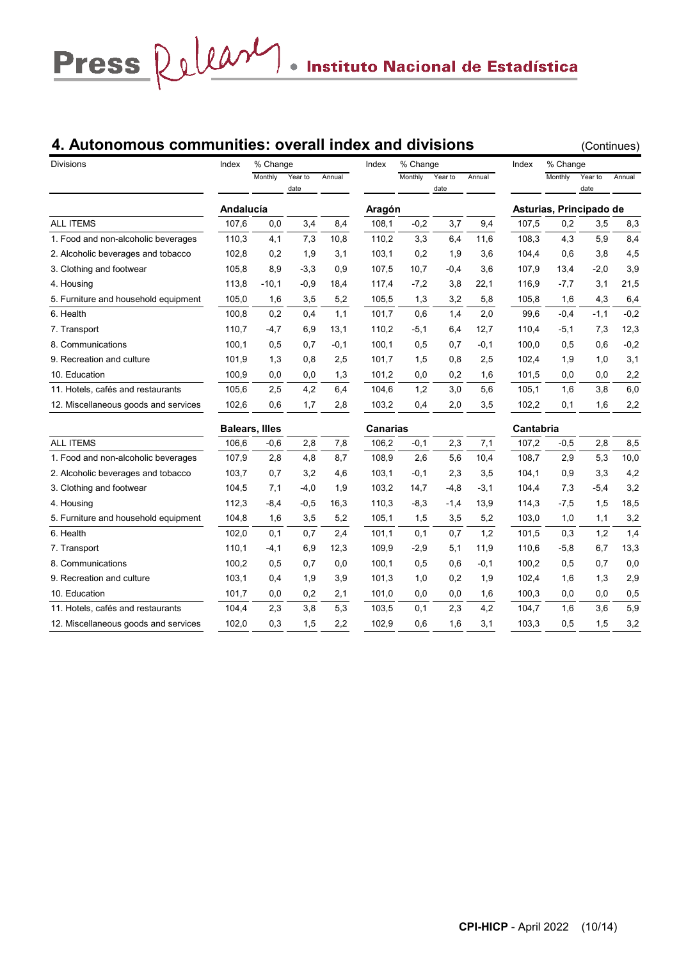# **4. Autonomous communities: overall index and divisions** (Continues)

| <b>Divisions</b>                     | Index     | % Change              |                 |        | Index           | % Change |                 |        | Index     | % Change                |                 |        |
|--------------------------------------|-----------|-----------------------|-----------------|--------|-----------------|----------|-----------------|--------|-----------|-------------------------|-----------------|--------|
|                                      |           | Monthly               | Year to<br>date | Annual |                 | Monthly  | Year to<br>date | Annual |           | Monthly                 | Year to<br>date | Annual |
|                                      | Andalucía |                       |                 |        | Aragón          |          |                 |        |           | Asturias, Principado de |                 |        |
| <b>ALL ITEMS</b>                     | 107,6     | 0,0                   | 3,4             | 8,4    | 108,1           | $-0,2$   | 3,7             | 9,4    | 107,5     | 0,2                     | 3,5             | 8,3    |
| 1. Food and non-alcoholic beverages  | 110,3     | 4,1                   | 7,3             | 10,8   | 110,2           | 3,3      | 6,4             | 11,6   | 108,3     | 4,3                     | 5,9             | 8,4    |
| 2. Alcoholic beverages and tobacco   | 102,8     | 0,2                   | 1,9             | 3,1    | 103,1           | 0,2      | 1,9             | 3,6    | 104,4     | 0,6                     | 3,8             | 4,5    |
| 3. Clothing and footwear             | 105,8     | 8,9                   | $-3,3$          | 0,9    | 107,5           | 10,7     | $-0.4$          | 3,6    | 107,9     | 13,4                    | $-2,0$          | 3,9    |
| 4. Housing                           | 113,8     | $-10,1$               | $-0,9$          | 18,4   | 117,4           | $-7,2$   | 3,8             | 22,1   | 116,9     | $-7,7$                  | 3,1             | 21,5   |
| 5. Furniture and household equipment | 105,0     | 1,6                   | 3,5             | 5,2    | 105,5           | 1,3      | 3,2             | 5,8    | 105,8     | 1,6                     | 4,3             | 6,4    |
| 6. Health                            | 100,8     | 0,2                   | 0,4             | 1,1    | 101,7           | 0,6      | 1,4             | 2,0    | 99,6      | $-0,4$                  | $-1,1$          | $-0,2$ |
| 7. Transport                         | 110,7     | $-4,7$                | 6,9             | 13,1   | 110,2           | $-5,1$   | 6,4             | 12,7   | 110,4     | $-5,1$                  | 7,3             | 12,3   |
| 8. Communications                    | 100,1     | 0,5                   | 0,7             | $-0,1$ | 100,1           | 0,5      | 0,7             | $-0,1$ | 100,0     | 0,5                     | 0,6             | $-0,2$ |
| 9. Recreation and culture            | 101,9     | 1,3                   | 0,8             | 2,5    | 101,7           | 1,5      | 0,8             | 2,5    | 102,4     | 1,9                     | 1,0             | 3,1    |
| 10. Education                        | 100,9     | 0,0                   | 0,0             | 1,3    | 101,2           | 0,0      | 0,2             | 1,6    | 101,5     | 0,0                     | 0,0             | 2,2    |
| 11. Hotels, cafés and restaurants    | 105,6     | 2,5                   | 4,2             | 6,4    | 104,6           | 1,2      | 3,0             | 5,6    | 105,1     | 1,6                     | 3,8             | 6,0    |
| 12. Miscellaneous goods and services | 102,6     | 0,6                   | 1,7             | 2,8    | 103,2           | 0,4      | 2,0             | 3,5    | 102,2     | 0,1                     | 1,6             | 2,2    |
|                                      |           | <b>Balears, Illes</b> |                 |        | <b>Canarias</b> |          |                 |        | Cantabria |                         |                 |        |
| <b>ALL ITEMS</b>                     | 106,6     | $-0,6$                | 2,8             | 7,8    | 106,2           | $-0,1$   | 2,3             | 7,1    | 107,2     | $-0,5$                  | 2,8             | 8,5    |
| 1. Food and non-alcoholic beverages  | 107,9     | 2,8                   | 4,8             | 8,7    | 108,9           | 2,6      | 5,6             | 10,4   | 108,7     | 2,9                     | 5,3             | 10,0   |
| 2. Alcoholic beverages and tobacco   | 103,7     | 0,7                   | 3,2             | 4,6    | 103,1           | $-0,1$   | 2,3             | 3,5    | 104,1     | 0,9                     | 3,3             | 4,2    |
| 3. Clothing and footwear             | 104,5     | 7,1                   | $-4,0$          | 1,9    | 103,2           | 14,7     | $-4,8$          | $-3,1$ | 104,4     | 7,3                     | $-5,4$          | 3,2    |
| 4. Housing                           | 112,3     | $-8,4$                | $-0,5$          | 16,3   | 110,3           | $-8,3$   | $-1,4$          | 13,9   | 114,3     | $-7,5$                  | 1,5             | 18,5   |
| 5. Furniture and household equipment | 104,8     | 1,6                   | 3,5             | 5,2    | 105,1           | 1,5      | 3,5             | 5,2    | 103,0     | 1,0                     | 1,1             | 3,2    |
| 6. Health                            | 102,0     | 0,1                   | 0,7             | 2,4    | 101,1           | 0,1      | 0,7             | 1,2    | 101,5     | 0,3                     | 1,2             | 1,4    |
| 7. Transport                         | 110,1     | $-4,1$                | 6,9             | 12,3   | 109,9           | $-2,9$   | 5,1             | 11,9   | 110,6     | $-5,8$                  | 6,7             | 13,3   |
| 8. Communications                    | 100,2     | 0,5                   | 0,7             | 0,0    | 100,1           | 0,5      | 0,6             | $-0,1$ | 100,2     | 0,5                     | 0,7             | 0,0    |
| 9. Recreation and culture            | 103,1     | 0,4                   | 1,9             | 3,9    | 101,3           | 1,0      | 0,2             | 1,9    | 102,4     | 1,6                     | 1,3             | 2,9    |
| 10. Education                        | 101,7     | 0,0                   | 0,2             | 2,1    | 101,0           | 0,0      | 0,0             | 1,6    | 100,3     | 0,0                     | 0,0             | 0,5    |
| 11. Hotels, cafés and restaurants    | 104,4     | 2,3                   | 3,8             | 5,3    | 103,5           | 0,1      | 2,3             | 4,2    | 104,7     | 1,6                     | 3,6             | 5,9    |
| 12. Miscellaneous goods and services | 102,0     | 0,3                   | 1,5             | 2,2    | 102,9           | 0,6      | 1,6             | 3,1    | 103,3     | 0,5                     | 1,5             | 3,2    |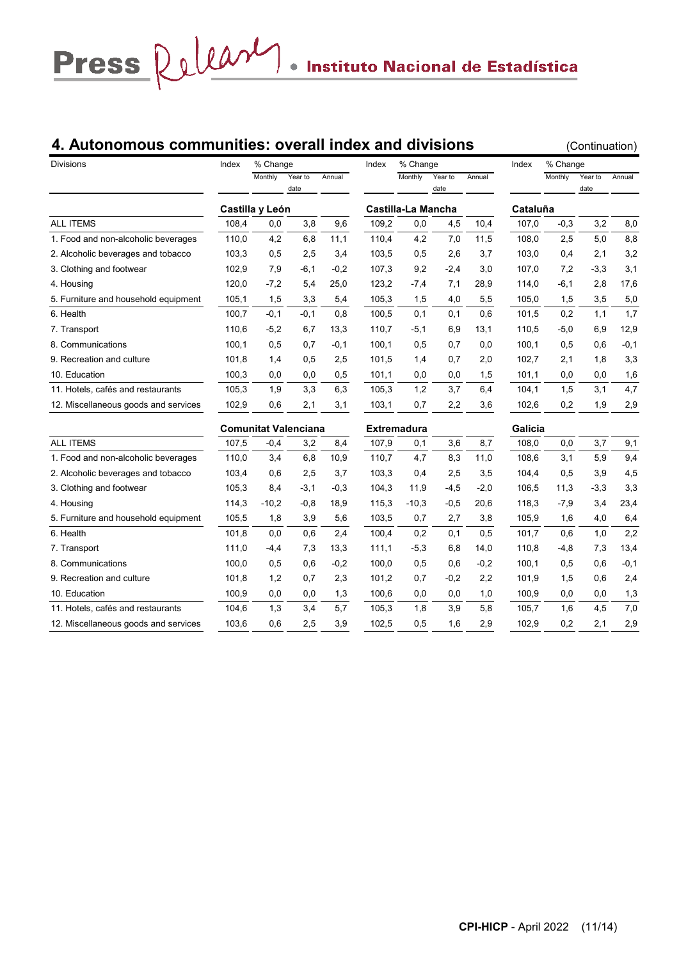# **4. Autonomous communities: overall index and divisions** (Continuation)

| <b>Divisions</b>                     | Index | % Change        |                             |        | Index | % Change           |                 |        | Index    | % Change |                 |        |
|--------------------------------------|-------|-----------------|-----------------------------|--------|-------|--------------------|-----------------|--------|----------|----------|-----------------|--------|
|                                      |       | Monthly         | Year to<br>date             | Annual |       | Monthly            | Year to<br>date | Annual |          | Monthly  | Year to<br>date | Annual |
|                                      |       | Castilla y León |                             |        |       | Castilla-La Mancha |                 |        | Cataluña |          |                 |        |
| <b>ALL ITEMS</b>                     | 108,4 | 0,0             | 3,8                         | 9,6    | 109,2 | 0,0                | 4,5             | 10,4   | 107,0    | $-0,3$   | 3,2             | 8,0    |
| 1. Food and non-alcoholic beverages  | 110,0 | 4,2             | 6,8                         | 11,1   | 110,4 | 4,2                | 7,0             | 11,5   | 108,0    | 2,5      | 5,0             | 8,8    |
| 2. Alcoholic beverages and tobacco   | 103,3 | 0,5             | 2,5                         | 3,4    | 103,5 | 0,5                | 2,6             | 3,7    | 103,0    | 0,4      | 2,1             | 3,2    |
| 3. Clothing and footwear             | 102,9 | 7,9             | $-6,1$                      | $-0,2$ | 107,3 | 9,2                | $-2,4$          | 3,0    | 107,0    | 7,2      | $-3,3$          | 3,1    |
| 4. Housing                           | 120,0 | $-7,2$          | 5,4                         | 25,0   | 123,2 | $-7,4$             | 7,1             | 28,9   | 114,0    | $-6,1$   | 2,8             | 17,6   |
| 5. Furniture and household equipment | 105,1 | 1,5             | 3,3                         | 5,4    | 105,3 | 1,5                | 4,0             | 5,5    | 105,0    | 1,5      | 3,5             | 5,0    |
| 6. Health                            | 100,7 | $-0,1$          | $-0,1$                      | 0,8    | 100,5 | 0,1                | 0,1             | 0,6    | 101,5    | 0,2      | 1,1             | 1,7    |
| 7. Transport                         | 110,6 | $-5,2$          | 6,7                         | 13,3   | 110,7 | $-5,1$             | 6,9             | 13,1   | 110,5    | $-5,0$   | 6,9             | 12,9   |
| 8. Communications                    | 100,1 | 0,5             | 0,7                         | $-0,1$ | 100,1 | 0,5                | 0,7             | 0,0    | 100,1    | 0,5      | 0,6             | $-0,1$ |
| 9. Recreation and culture            | 101.8 | 1,4             | 0,5                         | 2,5    | 101,5 | 1,4                | 0,7             | 2,0    | 102,7    | 2,1      | 1,8             | 3,3    |
| 10. Education                        | 100,3 | 0,0             | 0,0                         | 0,5    | 101,1 | 0,0                | 0,0             | 1,5    | 101,1    | 0,0      | 0,0             | 1,6    |
| 11. Hotels, cafés and restaurants    | 105,3 | 1,9             | 3,3                         | 6,3    | 105,3 | 1,2                | 3,7             | 6,4    | 104,1    | 1,5      | 3,1             | 4,7    |
| 12. Miscellaneous goods and services | 102,9 | 0,6             | 2,1                         | 3,1    | 103,1 | 0,7                | 2,2             | 3,6    | 102,6    | 0,2      | 1,9             | 2,9    |
|                                      |       |                 | <b>Comunitat Valenciana</b> |        |       | <b>Extremadura</b> |                 |        | Galicia  |          |                 |        |
| <b>ALL ITEMS</b>                     | 107,5 | $-0,4$          | 3,2                         | 8,4    | 107,9 | 0,1                | 3,6             | 8,7    | 108,0    | 0,0      | 3,7             | 9,1    |
| 1. Food and non-alcoholic beverages  | 110,0 | 3,4             | 6,8                         | 10,9   | 110,7 | 4,7                | 8,3             | 11,0   | 108,6    | 3,1      | 5,9             | 9,4    |
| 2. Alcoholic beverages and tobacco   | 103,4 | 0,6             | 2,5                         | 3,7    | 103,3 | 0,4                | 2,5             | 3,5    | 104,4    | 0,5      | 3,9             | 4,5    |
| 3. Clothing and footwear             | 105,3 | 8,4             | $-3,1$                      | $-0,3$ | 104,3 | 11,9               | $-4,5$          | $-2,0$ | 106,5    | 11,3     | $-3,3$          | 3,3    |
| 4. Housing                           | 114,3 | $-10,2$         | $-0,8$                      | 18,9   | 115,3 | $-10,3$            | $-0,5$          | 20,6   | 118,3    | $-7,9$   | 3,4             | 23,4   |
| 5. Furniture and household equipment | 105,5 | 1,8             | 3,9                         | 5,6    | 103,5 | 0,7                | 2,7             | 3,8    | 105.9    | 1,6      | 4,0             | 6,4    |
| 6. Health                            | 101,8 | 0,0             | 0,6                         | 2,4    | 100,4 | 0,2                | 0,1             | 0,5    | 101,7    | 0,6      | 1,0             | 2,2    |
| 7. Transport                         | 111,0 | -4,4            | 7,3                         | 13,3   | 111,1 | $-5,3$             | 6,8             | 14,0   | 110,8    | $-4,8$   | 7,3             | 13,4   |
| 8. Communications                    | 100,0 | 0,5             | 0,6                         | $-0,2$ | 100,0 | 0,5                | 0,6             | $-0,2$ | 100,1    | 0,5      | 0,6             | $-0,1$ |
| 9. Recreation and culture            | 101,8 | 1,2             | 0,7                         | 2,3    | 101,2 | 0,7                | $-0,2$          | 2,2    | 101,9    | 1,5      | 0,6             | 2,4    |
| 10. Education                        | 100,9 | 0,0             | 0,0                         | 1,3    | 100,6 | 0,0                | 0,0             | 1,0    | 100,9    | 0,0      | 0,0             | 1,3    |
| 11. Hotels, cafés and restaurants    | 104,6 | 1,3             | 3,4                         | 5,7    | 105,3 | 1,8                | 3,9             | 5,8    | 105,7    | 1,6      | 4,5             | 7,0    |
| 12. Miscellaneous goods and services | 103,6 | 0,6             | 2,5                         | 3,9    | 102,5 | 0,5                | 1,6             | 2,9    | 102,9    | 0,2      | 2,1             | 2,9    |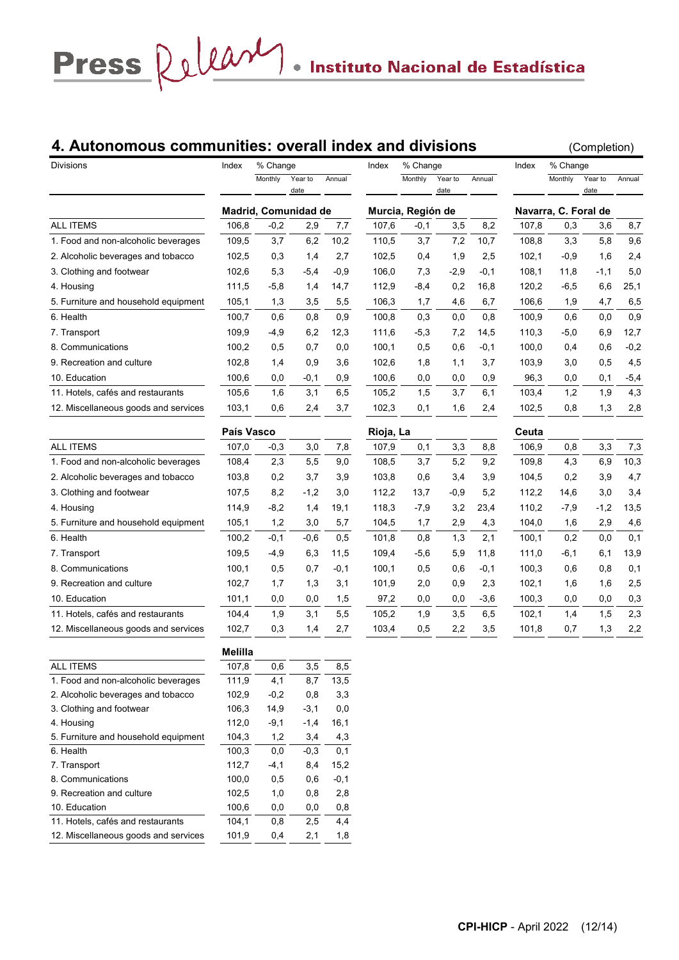# Press  $\Omega$   $\mu$

# **4. Autonomous communities: overall index and divisions** (Completion)

| Monthly<br>Monthly<br>Monthly<br>Year to<br>Annual<br>Year to<br>Annual<br>Year to<br>Annual<br>date<br>date<br>date<br>Madrid, Comunidad de<br>Murcia, Región de<br>Navarra, C. Foral de<br>3,5<br>8,2<br>8,7<br>106,8<br>$-0,2$<br>2,9<br>7,7<br>107,6<br>$-0,1$<br>107,8<br>0,3<br>3,6<br>9,6<br>109,5<br>3,7<br>6,2<br>10,2<br>3,7<br>7,2<br>10,7<br>3,3<br>5,8<br>1. Food and non-alcoholic beverages<br>110,5<br>108,8<br>2,4<br>102,5<br>2,7<br>102,5<br>1,9<br>2,5<br>102,1<br>$-0,9$<br>1,6<br>0,3<br>1,4<br>0,4<br>106,0<br>5,0<br>102,6<br>5,3<br>$-5,4$<br>$-0.9$<br>7,3<br>$-2,9$<br>$-0.1$<br>108,1<br>11,8<br>-1,1<br>111,5<br>112,9<br>0,2<br>16,8<br>120,2<br>$-6,5$<br>6,6<br>25,1<br>4. Housing<br>$-5,8$<br>1,4<br>14,7<br>-8,4<br>6,5<br>106,3<br>4,7<br>5. Furniture and household equipment<br>105,1<br>1,3<br>3,5<br>5,5<br>1,7<br>4,6<br>6,7<br>106,6<br>1,9<br>0,9<br>0,3<br>0,9<br>6. Health<br>100,7<br>0,6<br>0,8<br>100,8<br>0,0<br>0,8<br>100,9<br>0,6<br>0,0<br>109,9<br>6,2<br>12,3<br>111,6<br>$-5,3$<br>7,2<br>14,5<br>110,3<br>$-5,0$<br>6,9<br>12,7<br>7. Transport<br>-4,9<br>$-0,2$<br>8. Communications<br>100,2<br>0,5<br>0,7<br>0,0<br>100,1<br>0,5<br>0,6<br>$-0,1$<br>100,0<br>0,6<br>0,4<br>4,5<br>102,8<br>0,9<br>3,6<br>102,6<br>1,8<br>1,1<br>3,7<br>103,9<br>0,5<br>9. Recreation and culture<br>1,4<br>3,0<br>10. Education<br>100,6<br>0,9<br>100,6<br>0,0<br>$-5,4$<br>0,0<br>$-0,1$<br>0,0<br>0,9<br>96,3<br>0,0<br>0,1<br>11. Hotels, cafés and restaurants<br>105,6<br>3,1<br>6,5<br>105,2<br>3,7<br>6,1<br>103,4<br>1,2<br>1,9<br>4,3<br>1,6<br>1,5<br>12. Miscellaneous goods and services<br>102,3<br>2,8<br>103,1<br>0,6<br>2,4<br>0,1<br>1,6<br>102,5<br>0,8<br>1,3<br>3,7<br>2,4<br>País Vasco<br>Ceuta<br>Rioja, La<br><b>ALL ITEMS</b><br>107,0<br>$-0,3$<br>107,9<br>3,3<br>8,8<br>106,9<br>0,8<br>3,3<br>7,3<br>3,0<br>7,8<br>0,1<br>1. Food and non-alcoholic beverages<br>108,4<br>2,3<br>5,5<br>108,5<br>3,7<br>5,2<br>9,2<br>109,8<br>4,3<br>6,9<br>10,3<br>9,0<br>4,7<br>2. Alcoholic beverages and tobacco<br>103,8<br>0,2<br>3,7<br>3,9<br>103,8<br>3,9<br>104,5<br>0,2<br>3,9<br>0,6<br>3,4<br>3. Clothing and footwear<br>107,5<br>8,2<br>$-1,2$<br>3,0<br>112,2<br>5,2<br>3,0<br>3,4<br>13,7<br>-0,9<br>112,2<br>14,6<br>13,5<br>114,9<br>19,1<br>118,3<br>$-7,9$<br>3,2<br>23,4<br>$-7,9$<br>$-1,2$<br>4. Housing<br>$-8,2$<br>1,4<br>110,2<br>105,1<br>1,2<br>3,0<br>104,5<br>1,7<br>104,0<br>1,6<br>2,9<br>4,6<br>5. Furniture and household equipment<br>5,7<br>2,9<br>4,3<br>0,1<br>6. Health<br>100,2<br>$-0,1$<br>$-0,6$<br>0,5<br>101,8<br>0,8<br>1,3<br>2,1<br>100,1<br>0,2<br>0,0<br>13,9<br>109,5<br>11,5<br>109,4<br>$-5,6$<br>5,9<br>11,8<br>111,0<br>$-6,1$<br>7. Transport<br>$-4,9$<br>6,3<br>6,1<br>0,1<br>100,1<br>0,5<br>$-0,1$<br>100,1<br>0,5<br>$-0,1$<br>100,3<br>0,6<br>0,8<br>8. Communications<br>0,7<br>0,6<br>2,5<br>9. Recreation and culture<br>102,7<br>101,9<br>2,0<br>2,3<br>102,1<br>1,6<br>1,6<br>1,7<br>1,3<br>3,1<br>0,9<br>0,3<br>10. Education<br>97,2<br>0,0<br>101,1<br>0,0<br>$_{0,0}$<br>1,5<br>0,0<br>0,0<br>$-3,6$<br>100,3<br>0,0<br>2,3<br>1,9<br>5,5<br>105,2<br>6,5<br>102,1<br>1,5<br>11. Hotels, cafés and restaurants<br>104,4<br>3,1<br>1,9<br>3,5<br>1,4<br>2,2<br>2,2<br>12. Miscellaneous goods and services<br>102,7<br>0,3<br>2,7<br>103,4<br>0,5<br>3,5<br>101,8<br>0,7<br>1,3<br>1,4<br><b>Melilla</b><br>ALL ITEMS<br>107,8<br>0,6<br>3,5<br>8,5<br>1. Food and non-alcoholic beverages<br>111,9<br>4,1<br>8,7<br>13,5<br>102,9<br>3,3<br>2. Alcoholic beverages and tobacco<br>$-0,2$<br>0,8<br>3. Clothing and footwear<br>106,3<br>14,9<br>$-3,1$<br>0,0<br>112,0<br>$-9,1$<br>4. Housing<br>$-1,4$<br>16,1<br>5. Furniture and household equipment<br>104,3<br>1,2<br>3,4<br>4,3<br>100,3<br>6. Health<br>0,0<br>$-0,3$<br>0,1<br>112,7<br>7. Transport<br>$-4,1$<br>8,4<br>15,2<br>8. Communications<br>100,0<br>0,5<br>$-0,1$<br>0,6<br>9. Recreation and culture<br>102,5<br>2,8<br>1,0<br>0,8<br>10. Education<br>100,6<br>0,8<br>0,0<br>0,0 | <b>Divisions</b>                   | Index | % Change |     |     | Index | % Change |  | Index | % Change |  |
|----------------------------------------------------------------------------------------------------------------------------------------------------------------------------------------------------------------------------------------------------------------------------------------------------------------------------------------------------------------------------------------------------------------------------------------------------------------------------------------------------------------------------------------------------------------------------------------------------------------------------------------------------------------------------------------------------------------------------------------------------------------------------------------------------------------------------------------------------------------------------------------------------------------------------------------------------------------------------------------------------------------------------------------------------------------------------------------------------------------------------------------------------------------------------------------------------------------------------------------------------------------------------------------------------------------------------------------------------------------------------------------------------------------------------------------------------------------------------------------------------------------------------------------------------------------------------------------------------------------------------------------------------------------------------------------------------------------------------------------------------------------------------------------------------------------------------------------------------------------------------------------------------------------------------------------------------------------------------------------------------------------------------------------------------------------------------------------------------------------------------------------------------------------------------------------------------------------------------------------------------------------------------------------------------------------------------------------------------------------------------------------------------------------------------------------------------------------------------------------------------------------------------------------------------------------------------------------------------------------------------------------------------------------------------------------------------------------------------------------------------------------------------------------------------------------------------------------------------------------------------------------------------------------------------------------------------------------------------------------------------------------------------------------------------------------------------------------------------------------------------------------------------------------------------------------------------------------------------------------------------------------------------------------------------------------------------------------------------------------------------------------------------------------------------------------------------------------------------------------------------------------------------------------------------------------------------------------------------------------------------------------------------------------------------------------------------------------------------------------------------------------------------------------------------------------------------------------------------------------------------------------------------------------------------------------------------------------------------------------------------------------------------------------------------------------------------------------------|------------------------------------|-------|----------|-----|-----|-------|----------|--|-------|----------|--|
|                                                                                                                                                                                                                                                                                                                                                                                                                                                                                                                                                                                                                                                                                                                                                                                                                                                                                                                                                                                                                                                                                                                                                                                                                                                                                                                                                                                                                                                                                                                                                                                                                                                                                                                                                                                                                                                                                                                                                                                                                                                                                                                                                                                                                                                                                                                                                                                                                                                                                                                                                                                                                                                                                                                                                                                                                                                                                                                                                                                                                                                                                                                                                                                                                                                                                                                                                                                                                                                                                                                                                                                                                                                                                                                                                                                                                                                                                                                                                                                                                                                                                              |                                    |       |          |     |     |       |          |  |       |          |  |
|                                                                                                                                                                                                                                                                                                                                                                                                                                                                                                                                                                                                                                                                                                                                                                                                                                                                                                                                                                                                                                                                                                                                                                                                                                                                                                                                                                                                                                                                                                                                                                                                                                                                                                                                                                                                                                                                                                                                                                                                                                                                                                                                                                                                                                                                                                                                                                                                                                                                                                                                                                                                                                                                                                                                                                                                                                                                                                                                                                                                                                                                                                                                                                                                                                                                                                                                                                                                                                                                                                                                                                                                                                                                                                                                                                                                                                                                                                                                                                                                                                                                                              |                                    |       |          |     |     |       |          |  |       |          |  |
|                                                                                                                                                                                                                                                                                                                                                                                                                                                                                                                                                                                                                                                                                                                                                                                                                                                                                                                                                                                                                                                                                                                                                                                                                                                                                                                                                                                                                                                                                                                                                                                                                                                                                                                                                                                                                                                                                                                                                                                                                                                                                                                                                                                                                                                                                                                                                                                                                                                                                                                                                                                                                                                                                                                                                                                                                                                                                                                                                                                                                                                                                                                                                                                                                                                                                                                                                                                                                                                                                                                                                                                                                                                                                                                                                                                                                                                                                                                                                                                                                                                                                              |                                    |       |          |     |     |       |          |  |       |          |  |
|                                                                                                                                                                                                                                                                                                                                                                                                                                                                                                                                                                                                                                                                                                                                                                                                                                                                                                                                                                                                                                                                                                                                                                                                                                                                                                                                                                                                                                                                                                                                                                                                                                                                                                                                                                                                                                                                                                                                                                                                                                                                                                                                                                                                                                                                                                                                                                                                                                                                                                                                                                                                                                                                                                                                                                                                                                                                                                                                                                                                                                                                                                                                                                                                                                                                                                                                                                                                                                                                                                                                                                                                                                                                                                                                                                                                                                                                                                                                                                                                                                                                                              | <b>ALL ITEMS</b>                   |       |          |     |     |       |          |  |       |          |  |
|                                                                                                                                                                                                                                                                                                                                                                                                                                                                                                                                                                                                                                                                                                                                                                                                                                                                                                                                                                                                                                                                                                                                                                                                                                                                                                                                                                                                                                                                                                                                                                                                                                                                                                                                                                                                                                                                                                                                                                                                                                                                                                                                                                                                                                                                                                                                                                                                                                                                                                                                                                                                                                                                                                                                                                                                                                                                                                                                                                                                                                                                                                                                                                                                                                                                                                                                                                                                                                                                                                                                                                                                                                                                                                                                                                                                                                                                                                                                                                                                                                                                                              |                                    |       |          |     |     |       |          |  |       |          |  |
|                                                                                                                                                                                                                                                                                                                                                                                                                                                                                                                                                                                                                                                                                                                                                                                                                                                                                                                                                                                                                                                                                                                                                                                                                                                                                                                                                                                                                                                                                                                                                                                                                                                                                                                                                                                                                                                                                                                                                                                                                                                                                                                                                                                                                                                                                                                                                                                                                                                                                                                                                                                                                                                                                                                                                                                                                                                                                                                                                                                                                                                                                                                                                                                                                                                                                                                                                                                                                                                                                                                                                                                                                                                                                                                                                                                                                                                                                                                                                                                                                                                                                              | 2. Alcoholic beverages and tobacco |       |          |     |     |       |          |  |       |          |  |
|                                                                                                                                                                                                                                                                                                                                                                                                                                                                                                                                                                                                                                                                                                                                                                                                                                                                                                                                                                                                                                                                                                                                                                                                                                                                                                                                                                                                                                                                                                                                                                                                                                                                                                                                                                                                                                                                                                                                                                                                                                                                                                                                                                                                                                                                                                                                                                                                                                                                                                                                                                                                                                                                                                                                                                                                                                                                                                                                                                                                                                                                                                                                                                                                                                                                                                                                                                                                                                                                                                                                                                                                                                                                                                                                                                                                                                                                                                                                                                                                                                                                                              | 3. Clothing and footwear           |       |          |     |     |       |          |  |       |          |  |
|                                                                                                                                                                                                                                                                                                                                                                                                                                                                                                                                                                                                                                                                                                                                                                                                                                                                                                                                                                                                                                                                                                                                                                                                                                                                                                                                                                                                                                                                                                                                                                                                                                                                                                                                                                                                                                                                                                                                                                                                                                                                                                                                                                                                                                                                                                                                                                                                                                                                                                                                                                                                                                                                                                                                                                                                                                                                                                                                                                                                                                                                                                                                                                                                                                                                                                                                                                                                                                                                                                                                                                                                                                                                                                                                                                                                                                                                                                                                                                                                                                                                                              |                                    |       |          |     |     |       |          |  |       |          |  |
|                                                                                                                                                                                                                                                                                                                                                                                                                                                                                                                                                                                                                                                                                                                                                                                                                                                                                                                                                                                                                                                                                                                                                                                                                                                                                                                                                                                                                                                                                                                                                                                                                                                                                                                                                                                                                                                                                                                                                                                                                                                                                                                                                                                                                                                                                                                                                                                                                                                                                                                                                                                                                                                                                                                                                                                                                                                                                                                                                                                                                                                                                                                                                                                                                                                                                                                                                                                                                                                                                                                                                                                                                                                                                                                                                                                                                                                                                                                                                                                                                                                                                              |                                    |       |          |     |     |       |          |  |       |          |  |
|                                                                                                                                                                                                                                                                                                                                                                                                                                                                                                                                                                                                                                                                                                                                                                                                                                                                                                                                                                                                                                                                                                                                                                                                                                                                                                                                                                                                                                                                                                                                                                                                                                                                                                                                                                                                                                                                                                                                                                                                                                                                                                                                                                                                                                                                                                                                                                                                                                                                                                                                                                                                                                                                                                                                                                                                                                                                                                                                                                                                                                                                                                                                                                                                                                                                                                                                                                                                                                                                                                                                                                                                                                                                                                                                                                                                                                                                                                                                                                                                                                                                                              |                                    |       |          |     |     |       |          |  |       |          |  |
|                                                                                                                                                                                                                                                                                                                                                                                                                                                                                                                                                                                                                                                                                                                                                                                                                                                                                                                                                                                                                                                                                                                                                                                                                                                                                                                                                                                                                                                                                                                                                                                                                                                                                                                                                                                                                                                                                                                                                                                                                                                                                                                                                                                                                                                                                                                                                                                                                                                                                                                                                                                                                                                                                                                                                                                                                                                                                                                                                                                                                                                                                                                                                                                                                                                                                                                                                                                                                                                                                                                                                                                                                                                                                                                                                                                                                                                                                                                                                                                                                                                                                              |                                    |       |          |     |     |       |          |  |       |          |  |
|                                                                                                                                                                                                                                                                                                                                                                                                                                                                                                                                                                                                                                                                                                                                                                                                                                                                                                                                                                                                                                                                                                                                                                                                                                                                                                                                                                                                                                                                                                                                                                                                                                                                                                                                                                                                                                                                                                                                                                                                                                                                                                                                                                                                                                                                                                                                                                                                                                                                                                                                                                                                                                                                                                                                                                                                                                                                                                                                                                                                                                                                                                                                                                                                                                                                                                                                                                                                                                                                                                                                                                                                                                                                                                                                                                                                                                                                                                                                                                                                                                                                                              |                                    |       |          |     |     |       |          |  |       |          |  |
|                                                                                                                                                                                                                                                                                                                                                                                                                                                                                                                                                                                                                                                                                                                                                                                                                                                                                                                                                                                                                                                                                                                                                                                                                                                                                                                                                                                                                                                                                                                                                                                                                                                                                                                                                                                                                                                                                                                                                                                                                                                                                                                                                                                                                                                                                                                                                                                                                                                                                                                                                                                                                                                                                                                                                                                                                                                                                                                                                                                                                                                                                                                                                                                                                                                                                                                                                                                                                                                                                                                                                                                                                                                                                                                                                                                                                                                                                                                                                                                                                                                                                              |                                    |       |          |     |     |       |          |  |       |          |  |
|                                                                                                                                                                                                                                                                                                                                                                                                                                                                                                                                                                                                                                                                                                                                                                                                                                                                                                                                                                                                                                                                                                                                                                                                                                                                                                                                                                                                                                                                                                                                                                                                                                                                                                                                                                                                                                                                                                                                                                                                                                                                                                                                                                                                                                                                                                                                                                                                                                                                                                                                                                                                                                                                                                                                                                                                                                                                                                                                                                                                                                                                                                                                                                                                                                                                                                                                                                                                                                                                                                                                                                                                                                                                                                                                                                                                                                                                                                                                                                                                                                                                                              |                                    |       |          |     |     |       |          |  |       |          |  |
|                                                                                                                                                                                                                                                                                                                                                                                                                                                                                                                                                                                                                                                                                                                                                                                                                                                                                                                                                                                                                                                                                                                                                                                                                                                                                                                                                                                                                                                                                                                                                                                                                                                                                                                                                                                                                                                                                                                                                                                                                                                                                                                                                                                                                                                                                                                                                                                                                                                                                                                                                                                                                                                                                                                                                                                                                                                                                                                                                                                                                                                                                                                                                                                                                                                                                                                                                                                                                                                                                                                                                                                                                                                                                                                                                                                                                                                                                                                                                                                                                                                                                              |                                    |       |          |     |     |       |          |  |       |          |  |
|                                                                                                                                                                                                                                                                                                                                                                                                                                                                                                                                                                                                                                                                                                                                                                                                                                                                                                                                                                                                                                                                                                                                                                                                                                                                                                                                                                                                                                                                                                                                                                                                                                                                                                                                                                                                                                                                                                                                                                                                                                                                                                                                                                                                                                                                                                                                                                                                                                                                                                                                                                                                                                                                                                                                                                                                                                                                                                                                                                                                                                                                                                                                                                                                                                                                                                                                                                                                                                                                                                                                                                                                                                                                                                                                                                                                                                                                                                                                                                                                                                                                                              |                                    |       |          |     |     |       |          |  |       |          |  |
|                                                                                                                                                                                                                                                                                                                                                                                                                                                                                                                                                                                                                                                                                                                                                                                                                                                                                                                                                                                                                                                                                                                                                                                                                                                                                                                                                                                                                                                                                                                                                                                                                                                                                                                                                                                                                                                                                                                                                                                                                                                                                                                                                                                                                                                                                                                                                                                                                                                                                                                                                                                                                                                                                                                                                                                                                                                                                                                                                                                                                                                                                                                                                                                                                                                                                                                                                                                                                                                                                                                                                                                                                                                                                                                                                                                                                                                                                                                                                                                                                                                                                              |                                    |       |          |     |     |       |          |  |       |          |  |
|                                                                                                                                                                                                                                                                                                                                                                                                                                                                                                                                                                                                                                                                                                                                                                                                                                                                                                                                                                                                                                                                                                                                                                                                                                                                                                                                                                                                                                                                                                                                                                                                                                                                                                                                                                                                                                                                                                                                                                                                                                                                                                                                                                                                                                                                                                                                                                                                                                                                                                                                                                                                                                                                                                                                                                                                                                                                                                                                                                                                                                                                                                                                                                                                                                                                                                                                                                                                                                                                                                                                                                                                                                                                                                                                                                                                                                                                                                                                                                                                                                                                                              |                                    |       |          |     |     |       |          |  |       |          |  |
|                                                                                                                                                                                                                                                                                                                                                                                                                                                                                                                                                                                                                                                                                                                                                                                                                                                                                                                                                                                                                                                                                                                                                                                                                                                                                                                                                                                                                                                                                                                                                                                                                                                                                                                                                                                                                                                                                                                                                                                                                                                                                                                                                                                                                                                                                                                                                                                                                                                                                                                                                                                                                                                                                                                                                                                                                                                                                                                                                                                                                                                                                                                                                                                                                                                                                                                                                                                                                                                                                                                                                                                                                                                                                                                                                                                                                                                                                                                                                                                                                                                                                              |                                    |       |          |     |     |       |          |  |       |          |  |
|                                                                                                                                                                                                                                                                                                                                                                                                                                                                                                                                                                                                                                                                                                                                                                                                                                                                                                                                                                                                                                                                                                                                                                                                                                                                                                                                                                                                                                                                                                                                                                                                                                                                                                                                                                                                                                                                                                                                                                                                                                                                                                                                                                                                                                                                                                                                                                                                                                                                                                                                                                                                                                                                                                                                                                                                                                                                                                                                                                                                                                                                                                                                                                                                                                                                                                                                                                                                                                                                                                                                                                                                                                                                                                                                                                                                                                                                                                                                                                                                                                                                                              |                                    |       |          |     |     |       |          |  |       |          |  |
|                                                                                                                                                                                                                                                                                                                                                                                                                                                                                                                                                                                                                                                                                                                                                                                                                                                                                                                                                                                                                                                                                                                                                                                                                                                                                                                                                                                                                                                                                                                                                                                                                                                                                                                                                                                                                                                                                                                                                                                                                                                                                                                                                                                                                                                                                                                                                                                                                                                                                                                                                                                                                                                                                                                                                                                                                                                                                                                                                                                                                                                                                                                                                                                                                                                                                                                                                                                                                                                                                                                                                                                                                                                                                                                                                                                                                                                                                                                                                                                                                                                                                              |                                    |       |          |     |     |       |          |  |       |          |  |
|                                                                                                                                                                                                                                                                                                                                                                                                                                                                                                                                                                                                                                                                                                                                                                                                                                                                                                                                                                                                                                                                                                                                                                                                                                                                                                                                                                                                                                                                                                                                                                                                                                                                                                                                                                                                                                                                                                                                                                                                                                                                                                                                                                                                                                                                                                                                                                                                                                                                                                                                                                                                                                                                                                                                                                                                                                                                                                                                                                                                                                                                                                                                                                                                                                                                                                                                                                                                                                                                                                                                                                                                                                                                                                                                                                                                                                                                                                                                                                                                                                                                                              |                                    |       |          |     |     |       |          |  |       |          |  |
|                                                                                                                                                                                                                                                                                                                                                                                                                                                                                                                                                                                                                                                                                                                                                                                                                                                                                                                                                                                                                                                                                                                                                                                                                                                                                                                                                                                                                                                                                                                                                                                                                                                                                                                                                                                                                                                                                                                                                                                                                                                                                                                                                                                                                                                                                                                                                                                                                                                                                                                                                                                                                                                                                                                                                                                                                                                                                                                                                                                                                                                                                                                                                                                                                                                                                                                                                                                                                                                                                                                                                                                                                                                                                                                                                                                                                                                                                                                                                                                                                                                                                              |                                    |       |          |     |     |       |          |  |       |          |  |
|                                                                                                                                                                                                                                                                                                                                                                                                                                                                                                                                                                                                                                                                                                                                                                                                                                                                                                                                                                                                                                                                                                                                                                                                                                                                                                                                                                                                                                                                                                                                                                                                                                                                                                                                                                                                                                                                                                                                                                                                                                                                                                                                                                                                                                                                                                                                                                                                                                                                                                                                                                                                                                                                                                                                                                                                                                                                                                                                                                                                                                                                                                                                                                                                                                                                                                                                                                                                                                                                                                                                                                                                                                                                                                                                                                                                                                                                                                                                                                                                                                                                                              |                                    |       |          |     |     |       |          |  |       |          |  |
|                                                                                                                                                                                                                                                                                                                                                                                                                                                                                                                                                                                                                                                                                                                                                                                                                                                                                                                                                                                                                                                                                                                                                                                                                                                                                                                                                                                                                                                                                                                                                                                                                                                                                                                                                                                                                                                                                                                                                                                                                                                                                                                                                                                                                                                                                                                                                                                                                                                                                                                                                                                                                                                                                                                                                                                                                                                                                                                                                                                                                                                                                                                                                                                                                                                                                                                                                                                                                                                                                                                                                                                                                                                                                                                                                                                                                                                                                                                                                                                                                                                                                              |                                    |       |          |     |     |       |          |  |       |          |  |
|                                                                                                                                                                                                                                                                                                                                                                                                                                                                                                                                                                                                                                                                                                                                                                                                                                                                                                                                                                                                                                                                                                                                                                                                                                                                                                                                                                                                                                                                                                                                                                                                                                                                                                                                                                                                                                                                                                                                                                                                                                                                                                                                                                                                                                                                                                                                                                                                                                                                                                                                                                                                                                                                                                                                                                                                                                                                                                                                                                                                                                                                                                                                                                                                                                                                                                                                                                                                                                                                                                                                                                                                                                                                                                                                                                                                                                                                                                                                                                                                                                                                                              |                                    |       |          |     |     |       |          |  |       |          |  |
|                                                                                                                                                                                                                                                                                                                                                                                                                                                                                                                                                                                                                                                                                                                                                                                                                                                                                                                                                                                                                                                                                                                                                                                                                                                                                                                                                                                                                                                                                                                                                                                                                                                                                                                                                                                                                                                                                                                                                                                                                                                                                                                                                                                                                                                                                                                                                                                                                                                                                                                                                                                                                                                                                                                                                                                                                                                                                                                                                                                                                                                                                                                                                                                                                                                                                                                                                                                                                                                                                                                                                                                                                                                                                                                                                                                                                                                                                                                                                                                                                                                                                              |                                    |       |          |     |     |       |          |  |       |          |  |
|                                                                                                                                                                                                                                                                                                                                                                                                                                                                                                                                                                                                                                                                                                                                                                                                                                                                                                                                                                                                                                                                                                                                                                                                                                                                                                                                                                                                                                                                                                                                                                                                                                                                                                                                                                                                                                                                                                                                                                                                                                                                                                                                                                                                                                                                                                                                                                                                                                                                                                                                                                                                                                                                                                                                                                                                                                                                                                                                                                                                                                                                                                                                                                                                                                                                                                                                                                                                                                                                                                                                                                                                                                                                                                                                                                                                                                                                                                                                                                                                                                                                                              |                                    |       |          |     |     |       |          |  |       |          |  |
|                                                                                                                                                                                                                                                                                                                                                                                                                                                                                                                                                                                                                                                                                                                                                                                                                                                                                                                                                                                                                                                                                                                                                                                                                                                                                                                                                                                                                                                                                                                                                                                                                                                                                                                                                                                                                                                                                                                                                                                                                                                                                                                                                                                                                                                                                                                                                                                                                                                                                                                                                                                                                                                                                                                                                                                                                                                                                                                                                                                                                                                                                                                                                                                                                                                                                                                                                                                                                                                                                                                                                                                                                                                                                                                                                                                                                                                                                                                                                                                                                                                                                              |                                    |       |          |     |     |       |          |  |       |          |  |
|                                                                                                                                                                                                                                                                                                                                                                                                                                                                                                                                                                                                                                                                                                                                                                                                                                                                                                                                                                                                                                                                                                                                                                                                                                                                                                                                                                                                                                                                                                                                                                                                                                                                                                                                                                                                                                                                                                                                                                                                                                                                                                                                                                                                                                                                                                                                                                                                                                                                                                                                                                                                                                                                                                                                                                                                                                                                                                                                                                                                                                                                                                                                                                                                                                                                                                                                                                                                                                                                                                                                                                                                                                                                                                                                                                                                                                                                                                                                                                                                                                                                                              |                                    |       |          |     |     |       |          |  |       |          |  |
|                                                                                                                                                                                                                                                                                                                                                                                                                                                                                                                                                                                                                                                                                                                                                                                                                                                                                                                                                                                                                                                                                                                                                                                                                                                                                                                                                                                                                                                                                                                                                                                                                                                                                                                                                                                                                                                                                                                                                                                                                                                                                                                                                                                                                                                                                                                                                                                                                                                                                                                                                                                                                                                                                                                                                                                                                                                                                                                                                                                                                                                                                                                                                                                                                                                                                                                                                                                                                                                                                                                                                                                                                                                                                                                                                                                                                                                                                                                                                                                                                                                                                              |                                    |       |          |     |     |       |          |  |       |          |  |
|                                                                                                                                                                                                                                                                                                                                                                                                                                                                                                                                                                                                                                                                                                                                                                                                                                                                                                                                                                                                                                                                                                                                                                                                                                                                                                                                                                                                                                                                                                                                                                                                                                                                                                                                                                                                                                                                                                                                                                                                                                                                                                                                                                                                                                                                                                                                                                                                                                                                                                                                                                                                                                                                                                                                                                                                                                                                                                                                                                                                                                                                                                                                                                                                                                                                                                                                                                                                                                                                                                                                                                                                                                                                                                                                                                                                                                                                                                                                                                                                                                                                                              |                                    |       |          |     |     |       |          |  |       |          |  |
|                                                                                                                                                                                                                                                                                                                                                                                                                                                                                                                                                                                                                                                                                                                                                                                                                                                                                                                                                                                                                                                                                                                                                                                                                                                                                                                                                                                                                                                                                                                                                                                                                                                                                                                                                                                                                                                                                                                                                                                                                                                                                                                                                                                                                                                                                                                                                                                                                                                                                                                                                                                                                                                                                                                                                                                                                                                                                                                                                                                                                                                                                                                                                                                                                                                                                                                                                                                                                                                                                                                                                                                                                                                                                                                                                                                                                                                                                                                                                                                                                                                                                              |                                    |       |          |     |     |       |          |  |       |          |  |
|                                                                                                                                                                                                                                                                                                                                                                                                                                                                                                                                                                                                                                                                                                                                                                                                                                                                                                                                                                                                                                                                                                                                                                                                                                                                                                                                                                                                                                                                                                                                                                                                                                                                                                                                                                                                                                                                                                                                                                                                                                                                                                                                                                                                                                                                                                                                                                                                                                                                                                                                                                                                                                                                                                                                                                                                                                                                                                                                                                                                                                                                                                                                                                                                                                                                                                                                                                                                                                                                                                                                                                                                                                                                                                                                                                                                                                                                                                                                                                                                                                                                                              |                                    |       |          |     |     |       |          |  |       |          |  |
|                                                                                                                                                                                                                                                                                                                                                                                                                                                                                                                                                                                                                                                                                                                                                                                                                                                                                                                                                                                                                                                                                                                                                                                                                                                                                                                                                                                                                                                                                                                                                                                                                                                                                                                                                                                                                                                                                                                                                                                                                                                                                                                                                                                                                                                                                                                                                                                                                                                                                                                                                                                                                                                                                                                                                                                                                                                                                                                                                                                                                                                                                                                                                                                                                                                                                                                                                                                                                                                                                                                                                                                                                                                                                                                                                                                                                                                                                                                                                                                                                                                                                              |                                    |       |          |     |     |       |          |  |       |          |  |
|                                                                                                                                                                                                                                                                                                                                                                                                                                                                                                                                                                                                                                                                                                                                                                                                                                                                                                                                                                                                                                                                                                                                                                                                                                                                                                                                                                                                                                                                                                                                                                                                                                                                                                                                                                                                                                                                                                                                                                                                                                                                                                                                                                                                                                                                                                                                                                                                                                                                                                                                                                                                                                                                                                                                                                                                                                                                                                                                                                                                                                                                                                                                                                                                                                                                                                                                                                                                                                                                                                                                                                                                                                                                                                                                                                                                                                                                                                                                                                                                                                                                                              |                                    |       |          |     |     |       |          |  |       |          |  |
|                                                                                                                                                                                                                                                                                                                                                                                                                                                                                                                                                                                                                                                                                                                                                                                                                                                                                                                                                                                                                                                                                                                                                                                                                                                                                                                                                                                                                                                                                                                                                                                                                                                                                                                                                                                                                                                                                                                                                                                                                                                                                                                                                                                                                                                                                                                                                                                                                                                                                                                                                                                                                                                                                                                                                                                                                                                                                                                                                                                                                                                                                                                                                                                                                                                                                                                                                                                                                                                                                                                                                                                                                                                                                                                                                                                                                                                                                                                                                                                                                                                                                              |                                    |       |          |     |     |       |          |  |       |          |  |
|                                                                                                                                                                                                                                                                                                                                                                                                                                                                                                                                                                                                                                                                                                                                                                                                                                                                                                                                                                                                                                                                                                                                                                                                                                                                                                                                                                                                                                                                                                                                                                                                                                                                                                                                                                                                                                                                                                                                                                                                                                                                                                                                                                                                                                                                                                                                                                                                                                                                                                                                                                                                                                                                                                                                                                                                                                                                                                                                                                                                                                                                                                                                                                                                                                                                                                                                                                                                                                                                                                                                                                                                                                                                                                                                                                                                                                                                                                                                                                                                                                                                                              |                                    |       |          |     |     |       |          |  |       |          |  |
|                                                                                                                                                                                                                                                                                                                                                                                                                                                                                                                                                                                                                                                                                                                                                                                                                                                                                                                                                                                                                                                                                                                                                                                                                                                                                                                                                                                                                                                                                                                                                                                                                                                                                                                                                                                                                                                                                                                                                                                                                                                                                                                                                                                                                                                                                                                                                                                                                                                                                                                                                                                                                                                                                                                                                                                                                                                                                                                                                                                                                                                                                                                                                                                                                                                                                                                                                                                                                                                                                                                                                                                                                                                                                                                                                                                                                                                                                                                                                                                                                                                                                              |                                    |       |          |     |     |       |          |  |       |          |  |
|                                                                                                                                                                                                                                                                                                                                                                                                                                                                                                                                                                                                                                                                                                                                                                                                                                                                                                                                                                                                                                                                                                                                                                                                                                                                                                                                                                                                                                                                                                                                                                                                                                                                                                                                                                                                                                                                                                                                                                                                                                                                                                                                                                                                                                                                                                                                                                                                                                                                                                                                                                                                                                                                                                                                                                                                                                                                                                                                                                                                                                                                                                                                                                                                                                                                                                                                                                                                                                                                                                                                                                                                                                                                                                                                                                                                                                                                                                                                                                                                                                                                                              |                                    |       |          |     |     |       |          |  |       |          |  |
|                                                                                                                                                                                                                                                                                                                                                                                                                                                                                                                                                                                                                                                                                                                                                                                                                                                                                                                                                                                                                                                                                                                                                                                                                                                                                                                                                                                                                                                                                                                                                                                                                                                                                                                                                                                                                                                                                                                                                                                                                                                                                                                                                                                                                                                                                                                                                                                                                                                                                                                                                                                                                                                                                                                                                                                                                                                                                                                                                                                                                                                                                                                                                                                                                                                                                                                                                                                                                                                                                                                                                                                                                                                                                                                                                                                                                                                                                                                                                                                                                                                                                              |                                    |       |          |     |     |       |          |  |       |          |  |
|                                                                                                                                                                                                                                                                                                                                                                                                                                                                                                                                                                                                                                                                                                                                                                                                                                                                                                                                                                                                                                                                                                                                                                                                                                                                                                                                                                                                                                                                                                                                                                                                                                                                                                                                                                                                                                                                                                                                                                                                                                                                                                                                                                                                                                                                                                                                                                                                                                                                                                                                                                                                                                                                                                                                                                                                                                                                                                                                                                                                                                                                                                                                                                                                                                                                                                                                                                                                                                                                                                                                                                                                                                                                                                                                                                                                                                                                                                                                                                                                                                                                                              |                                    |       |          |     |     |       |          |  |       |          |  |
|                                                                                                                                                                                                                                                                                                                                                                                                                                                                                                                                                                                                                                                                                                                                                                                                                                                                                                                                                                                                                                                                                                                                                                                                                                                                                                                                                                                                                                                                                                                                                                                                                                                                                                                                                                                                                                                                                                                                                                                                                                                                                                                                                                                                                                                                                                                                                                                                                                                                                                                                                                                                                                                                                                                                                                                                                                                                                                                                                                                                                                                                                                                                                                                                                                                                                                                                                                                                                                                                                                                                                                                                                                                                                                                                                                                                                                                                                                                                                                                                                                                                                              | 11. Hotels, cafés and restaurants  | 104,1 | 0,8      | 2,5 | 4,4 |       |          |  |       |          |  |
| 12. Miscellaneous goods and services<br>101,9<br>0,4<br>2,1<br>1,8                                                                                                                                                                                                                                                                                                                                                                                                                                                                                                                                                                                                                                                                                                                                                                                                                                                                                                                                                                                                                                                                                                                                                                                                                                                                                                                                                                                                                                                                                                                                                                                                                                                                                                                                                                                                                                                                                                                                                                                                                                                                                                                                                                                                                                                                                                                                                                                                                                                                                                                                                                                                                                                                                                                                                                                                                                                                                                                                                                                                                                                                                                                                                                                                                                                                                                                                                                                                                                                                                                                                                                                                                                                                                                                                                                                                                                                                                                                                                                                                                           |                                    |       |          |     |     |       |          |  |       |          |  |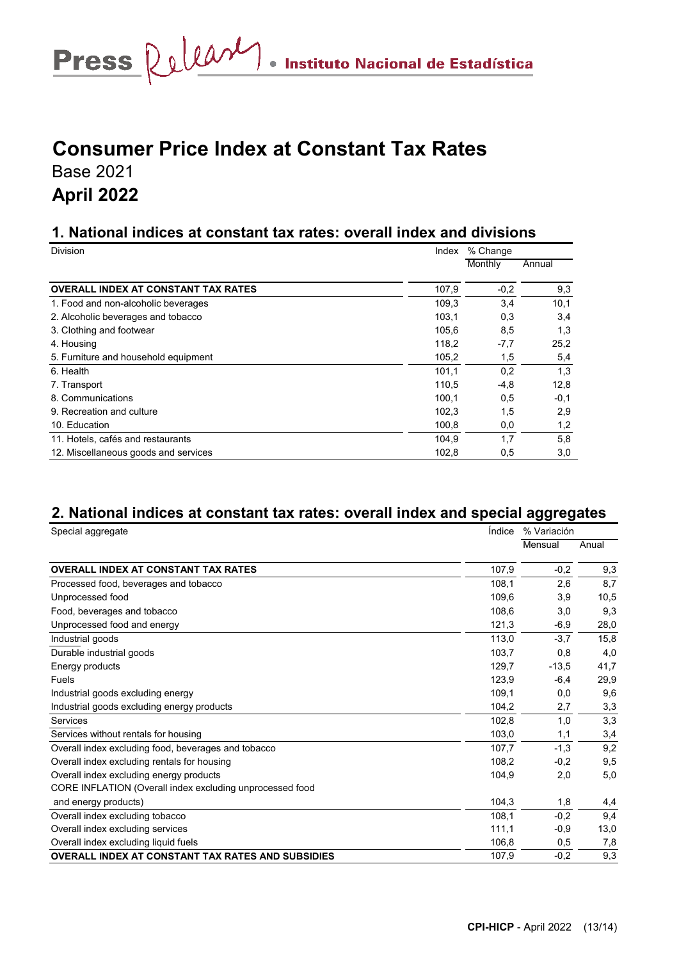# Press Relear . Instituto Nacional de Estadística

# **Consumer Price Index at Constant Tax Rates**

Base 2021

# **April 2022**

## **1. National indices at constant tax rates: overall index and divisions**

| <b>Division</b>                            | Index | % Change |        |  |
|--------------------------------------------|-------|----------|--------|--|
|                                            |       | Monthly  | Annual |  |
| <b>OVERALL INDEX AT CONSTANT TAX RATES</b> | 107,9 | $-0.2$   | 9,3    |  |
| 1. Food and non-alcoholic beverages        | 109.3 | 3,4      | 10,1   |  |
| 2. Alcoholic beverages and tobacco         | 103,1 | 0,3      | 3,4    |  |
| 3. Clothing and footwear                   | 105,6 | 8,5      | 1,3    |  |
| 4. Housing                                 | 118,2 | $-7,7$   | 25,2   |  |
| 5. Furniture and household equipment       | 105,2 | 1,5      | 5,4    |  |
| 6. Health                                  | 101,1 | 0,2      | 1,3    |  |
| 7. Transport                               | 110.5 | $-4,8$   | 12,8   |  |
| 8. Communications                          | 100,1 | 0,5      | $-0,1$ |  |
| 9. Recreation and culture                  | 102,3 | 1,5      | 2,9    |  |
| 10. Education                              | 100.8 | 0,0      | 1,2    |  |
| 11. Hotels, cafés and restaurants          | 104.9 | 1,7      | 5,8    |  |
| 12. Miscellaneous goods and services       | 102,8 | 0,5      | 3,0    |  |

# **2. National indices at constant tax rates: overall index and special aggregates**

| Special aggregate                                        | <i><u><b>Indice</b></u></i> | % Variación |       |  |
|----------------------------------------------------------|-----------------------------|-------------|-------|--|
|                                                          |                             | Mensual     | Anual |  |
| <b>OVERALL INDEX AT CONSTANT TAX RATES</b>               | 107,9                       | $-0,2$      | 9,3   |  |
| Processed food, beverages and tobacco                    | 108,1                       | 2,6         | 8,7   |  |
| Unprocessed food                                         | 109,6                       | 3,9         | 10,5  |  |
| Food, beverages and tobacco                              | 108,6                       | 3,0         | 9,3   |  |
| Unprocessed food and energy                              | 121,3                       | $-6,9$      | 28,0  |  |
| Industrial goods                                         | 113,0                       | $-3,7$      | 15,8  |  |
| Durable industrial goods                                 | 103,7                       | 0,8         | 4,0   |  |
| Energy products                                          | 129.7                       | $-13.5$     | 41,7  |  |
| Fuels                                                    | 123,9                       | $-6.4$      | 29,9  |  |
| Industrial goods excluding energy                        | 109,1                       | 0,0         | 9,6   |  |
| Industrial goods excluding energy products               | 104,2                       | 2,7         | 3,3   |  |
| Services                                                 | 102,8                       | 1,0         | 3,3   |  |
| Services without rentals for housing                     | 103,0                       | 1,1         | 3,4   |  |
| Overall index excluding food, beverages and tobacco      | 107,7                       | $-1,3$      | 9,2   |  |
| Overall index excluding rentals for housing              | 108.2                       | $-0,2$      | 9,5   |  |
| Overall index excluding energy products                  | 104,9                       | 2,0         | 5,0   |  |
| CORE INFLATION (Overall index excluding unprocessed food |                             |             |       |  |
| and energy products)                                     | 104,3                       | 1,8         | 4,4   |  |
| Overall index excluding tobacco                          | 108.1                       | $-0,2$      | 9,4   |  |
| Overall index excluding services                         | 111,1                       | $-0.9$      | 13,0  |  |
| Overall index excluding liquid fuels                     | 106,8                       | 0,5         | 7,8   |  |
| <b>OVERALL INDEX AT CONSTANT TAX RATES AND SUBSIDIES</b> | 107,9                       | $-0,2$      | 9,3   |  |